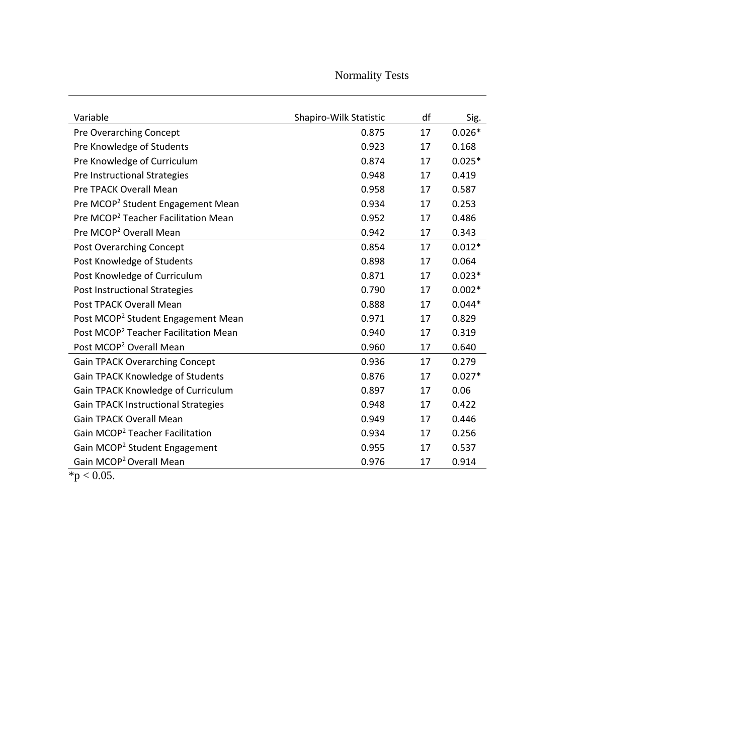## Normality Tests

| Variable                                         | Shapiro-Wilk Statistic | df | Sig.     |
|--------------------------------------------------|------------------------|----|----------|
| Pre Overarching Concept                          | 0.875                  | 17 | $0.026*$ |
| Pre Knowledge of Students                        | 0.923                  | 17 | 0.168    |
| Pre Knowledge of Curriculum                      | 0.874                  | 17 | $0.025*$ |
| Pre Instructional Strategies                     | 0.948                  | 17 | 0.419    |
| <b>Pre TPACK Overall Mean</b>                    | 0.958                  | 17 | 0.587    |
| Pre MCOP <sup>2</sup> Student Engagement Mean    | 0.934                  | 17 | 0.253    |
| Pre MCOP <sup>2</sup> Teacher Facilitation Mean  | 0.952                  | 17 | 0.486    |
| Pre MCOP <sup>2</sup> Overall Mean               | 0.942                  | 17 | 0.343    |
| Post Overarching Concept                         | 0.854                  | 17 | $0.012*$ |
| Post Knowledge of Students                       | 0.898                  | 17 | 0.064    |
| Post Knowledge of Curriculum                     | 0.871                  | 17 | $0.023*$ |
| Post Instructional Strategies                    | 0.790                  | 17 | $0.002*$ |
| Post TPACK Overall Mean                          | 0.888                  | 17 | $0.044*$ |
| Post MCOP <sup>2</sup> Student Engagement Mean   | 0.971                  | 17 | 0.829    |
| Post MCOP <sup>2</sup> Teacher Facilitation Mean | 0.940                  | 17 | 0.319    |
| Post MCOP <sup>2</sup> Overall Mean              | 0.960                  | 17 | 0.640    |
| <b>Gain TPACK Overarching Concept</b>            | 0.936                  | 17 | 0.279    |
| Gain TPACK Knowledge of Students                 | 0.876                  | 17 | $0.027*$ |
| Gain TPACK Knowledge of Curriculum               | 0.897                  | 17 | 0.06     |
| <b>Gain TPACK Instructional Strategies</b>       | 0.948                  | 17 | 0.422    |
| Gain TPACK Overall Mean                          | 0.949                  | 17 | 0.446    |
| Gain MCOP <sup>2</sup> Teacher Facilitation      | 0.934                  | 17 | 0.256    |
| Gain MCOP <sup>2</sup> Student Engagement        | 0.955                  | 17 | 0.537    |
| Gain MCOP <sup>2</sup> Overall Mean              | 0.976                  | 17 | 0.914    |

 $\frac{24}{10}$  < 0.05.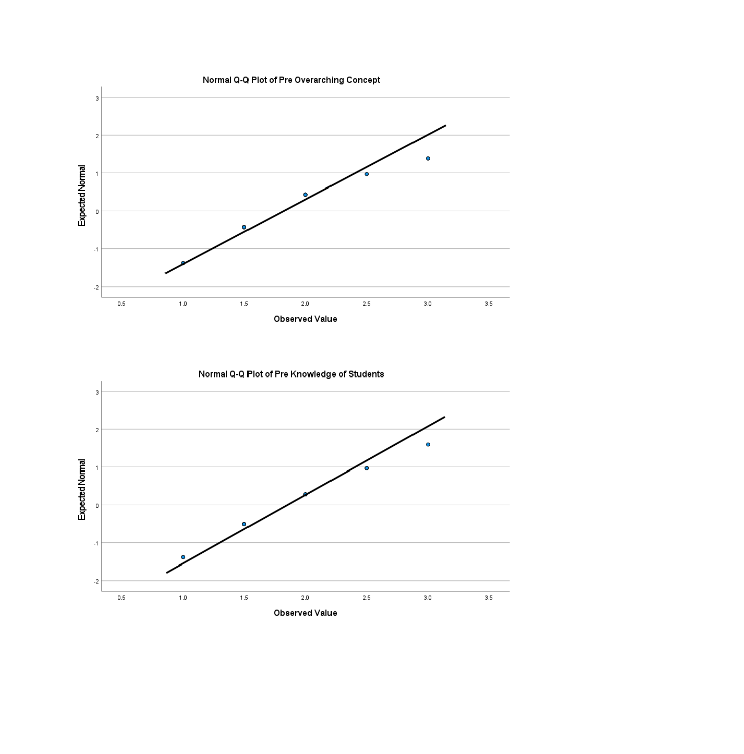

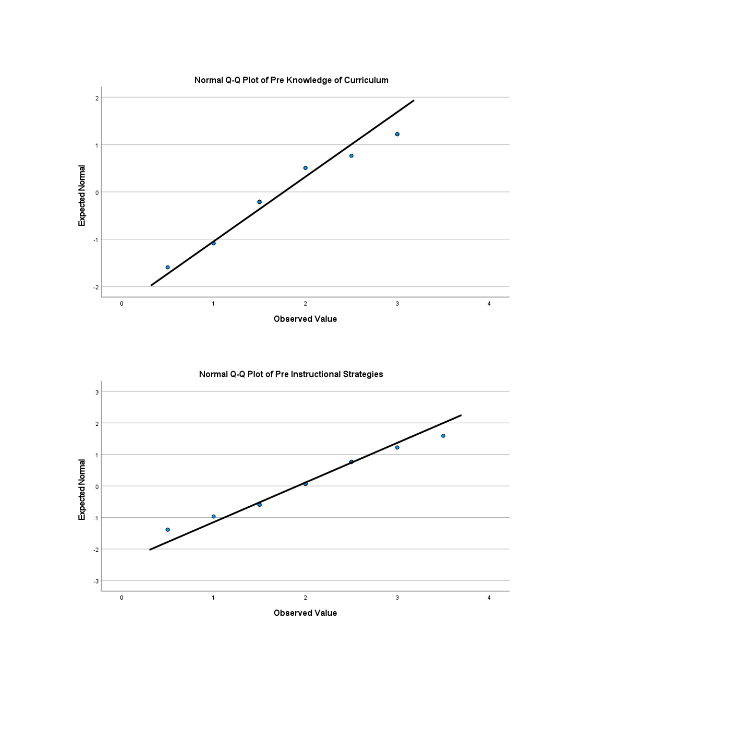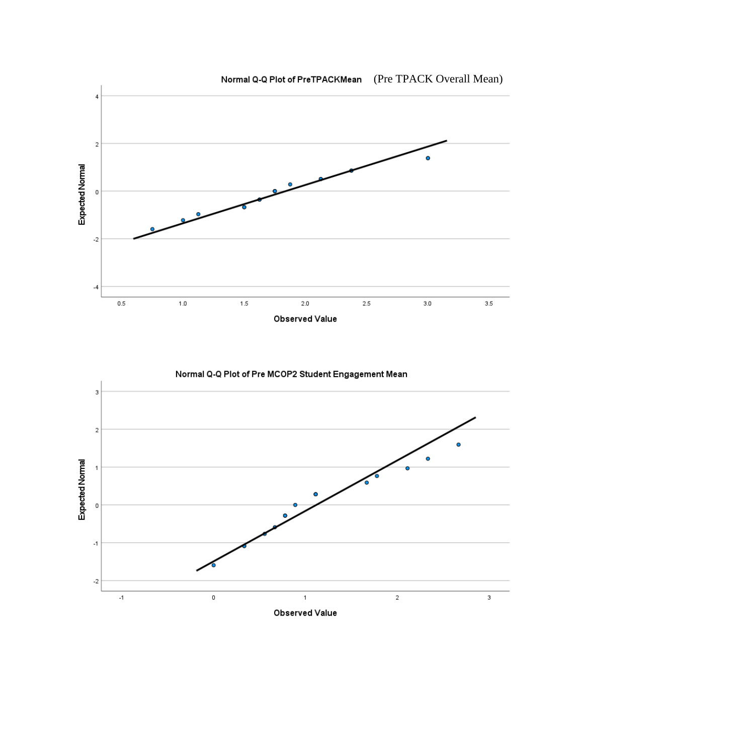



Normal Q-Q Plot of Pre MCOP2 Student Engagement Mean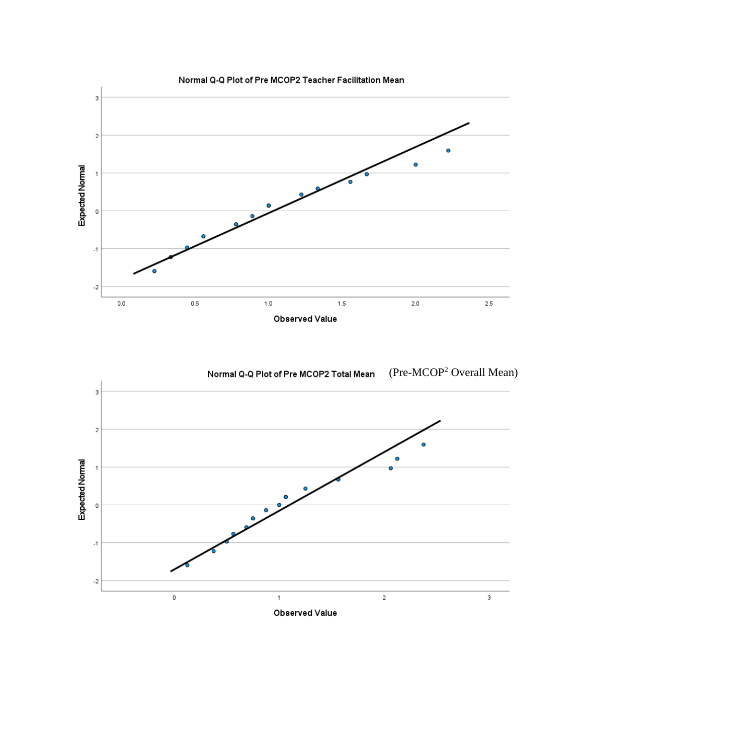

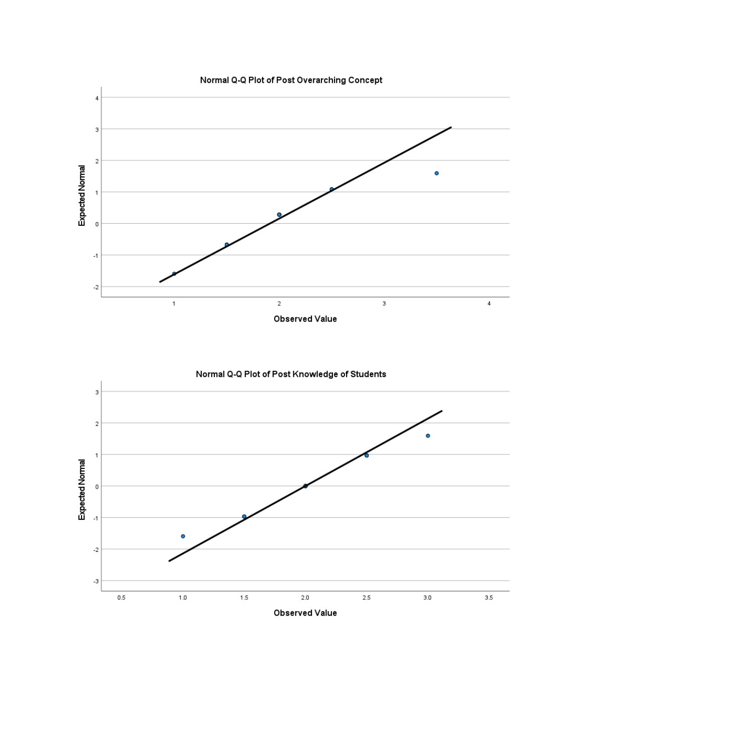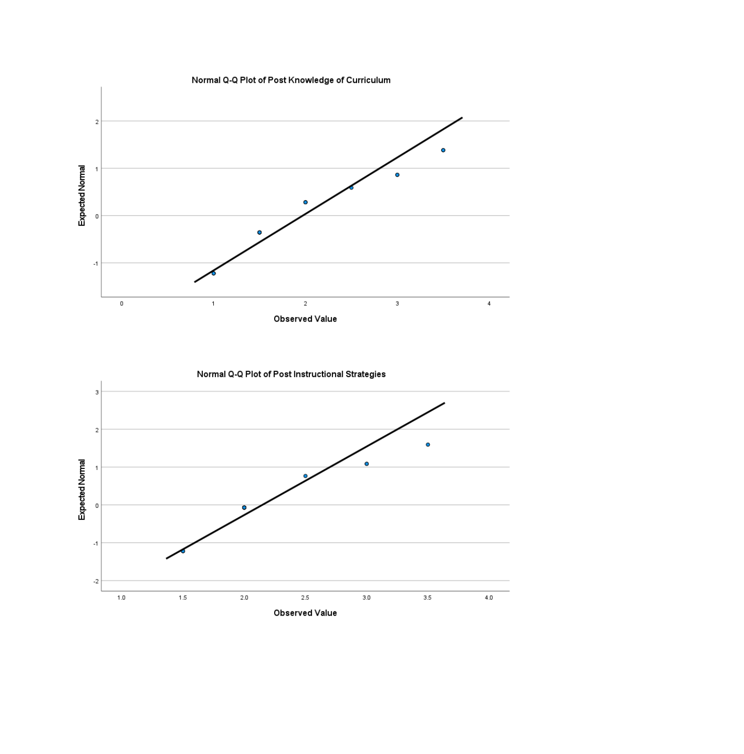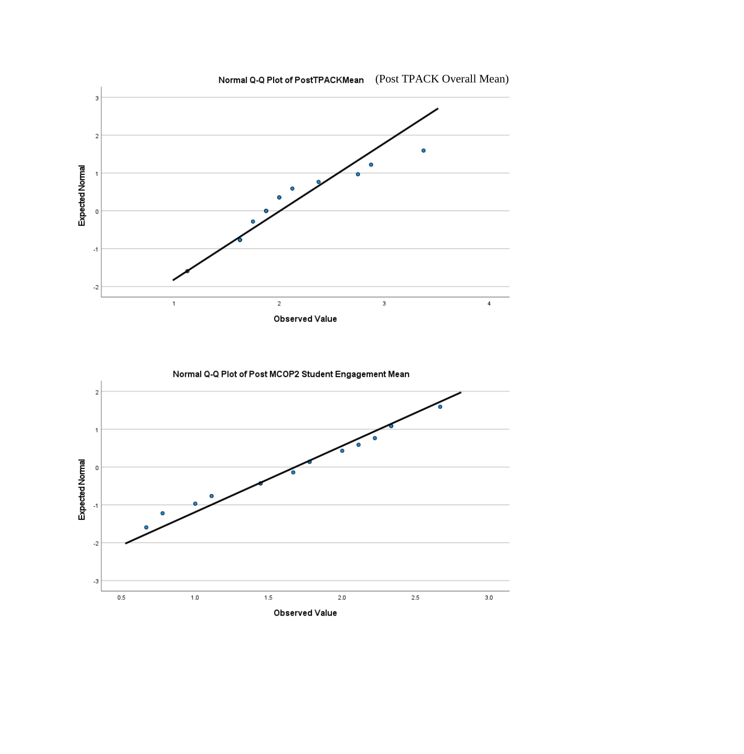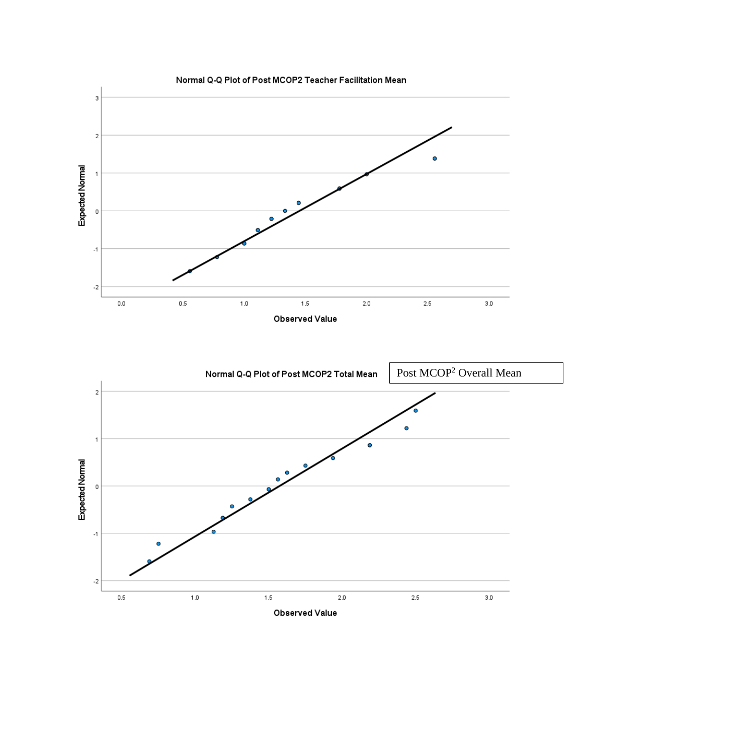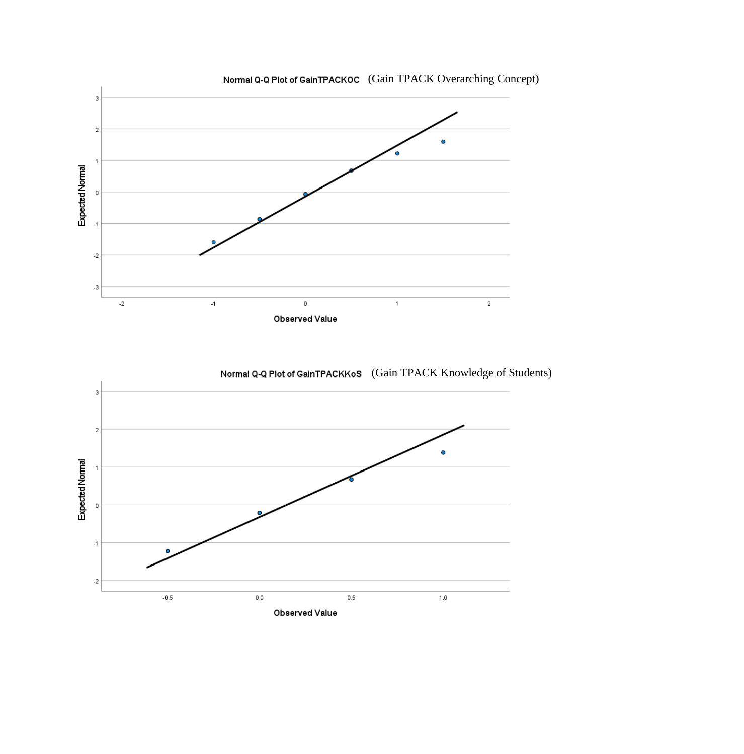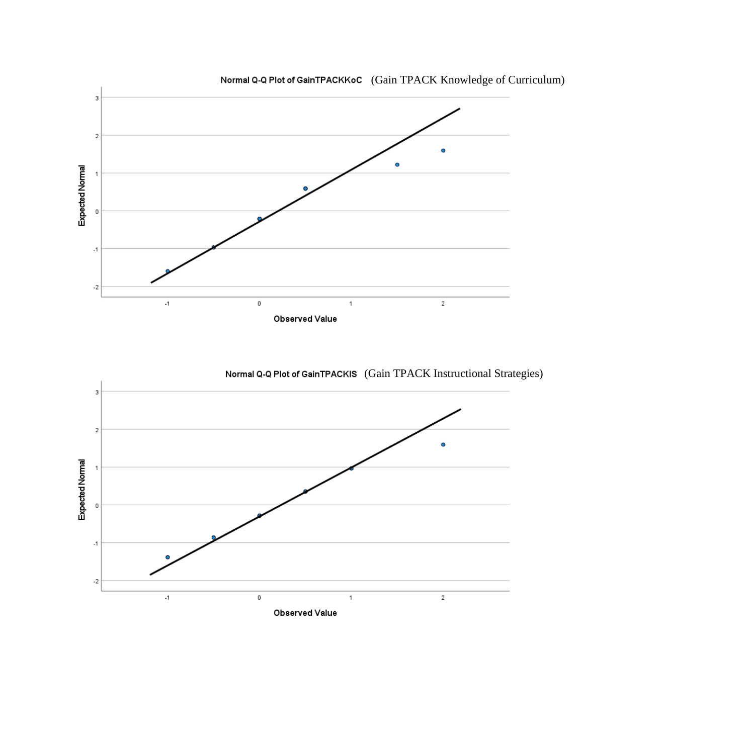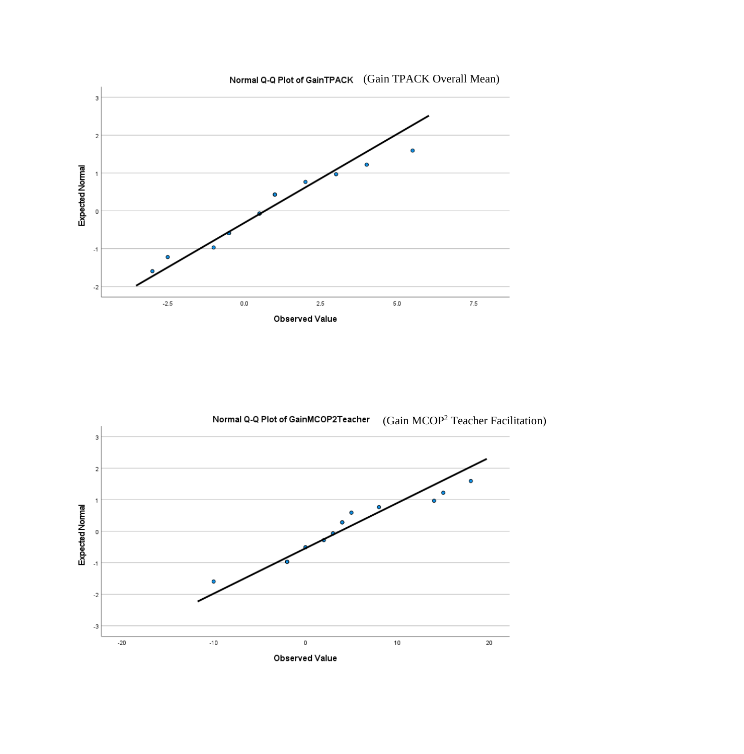